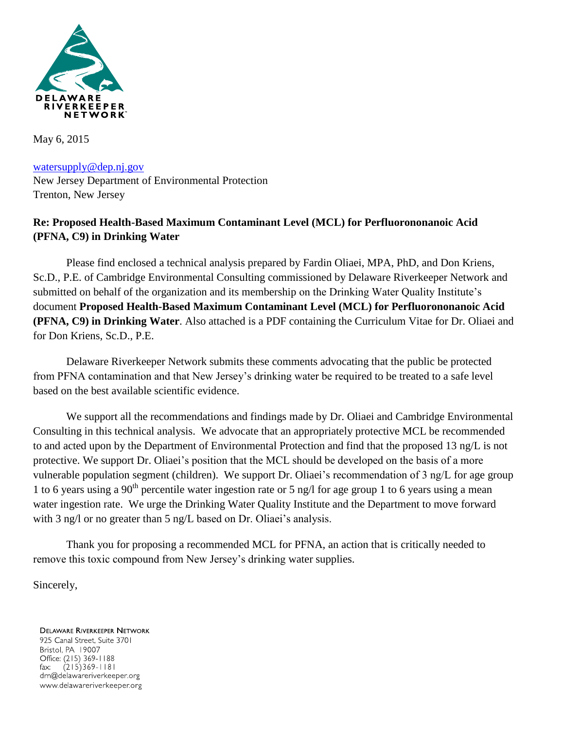

May 6, 2015

[watersupply@dep.nj.gov](mailto:watersupply@dep.nj.gov) New Jersey Department of Environmental Protection Trenton, New Jersey

# **Re: Proposed Health-Based Maximum Contaminant Level (MCL) for Perfluorononanoic Acid (PFNA, C9) in Drinking Water**

Please find enclosed a technical analysis prepared by Fardin Oliaei, MPA, PhD, and Don Kriens, Sc.D., P.E. of Cambridge Environmental Consulting commissioned by Delaware Riverkeeper Network and submitted on behalf of the organization and its membership on the Drinking Water Quality Institute's document **Proposed Health-Based Maximum Contaminant Level (MCL) for Perfluorononanoic Acid (PFNA, C9) in Drinking Water**. Also attached is a PDF containing the Curriculum Vitae for Dr. Oliaei and for Don Kriens, Sc.D., P.E.

Delaware Riverkeeper Network submits these comments advocating that the public be protected from PFNA contamination and that New Jersey's drinking water be required to be treated to a safe level based on the best available scientific evidence.

We support all the recommendations and findings made by Dr. Oliaei and Cambridge Environmental Consulting in this technical analysis. We advocate that an appropriately protective MCL be recommended to and acted upon by the Department of Environmental Protection and find that the proposed 13 ng/L is not protective. We support Dr. Oliaei's position that the MCL should be developed on the basis of a more vulnerable population segment (children). We support Dr. Oliaei's recommendation of 3 ng/L for age group 1 to 6 years using a 90<sup>th</sup> percentile water ingestion rate or 5 ng/l for age group 1 to 6 years using a mean water ingestion rate. We urge the Drinking Water Quality Institute and the Department to move forward with 3 ng/l or no greater than 5 ng/L based on Dr. Oliaei's analysis.

Thank you for proposing a recommended MCL for PFNA, an action that is critically needed to remove this toxic compound from New Jersey's drinking water supplies.

Sincerely,

**DELAWARE RIVERKEEPER NETWORK** 925 Canal Street, Suite 3701 Bristol, PA 19007 Office: (215) 369-1188  $(215)369 - 1181$  $\mathsf{fax:}$ drn@delawareriverkeeper.org www.delawareriverkeeper.org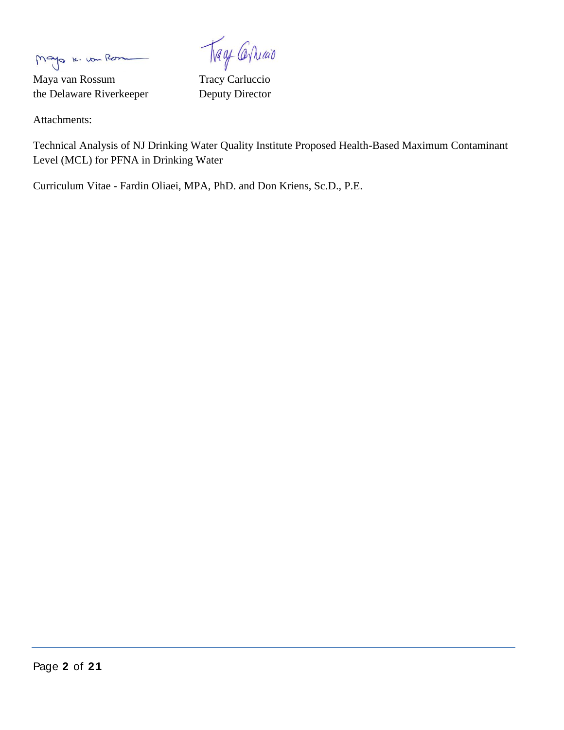Mayo K. von Rom

Maya van Rossum Tracy Carluccio the Delaware Riverkeeper Deputy Director

Trage Carriago

Attachments:

Technical Analysis of NJ Drinking Water Quality Institute Proposed Health-Based Maximum Contaminant Level (MCL) for PFNA in Drinking Water

Curriculum Vitae - Fardin Oliaei, MPA, PhD. and Don Kriens, Sc.D., P.E.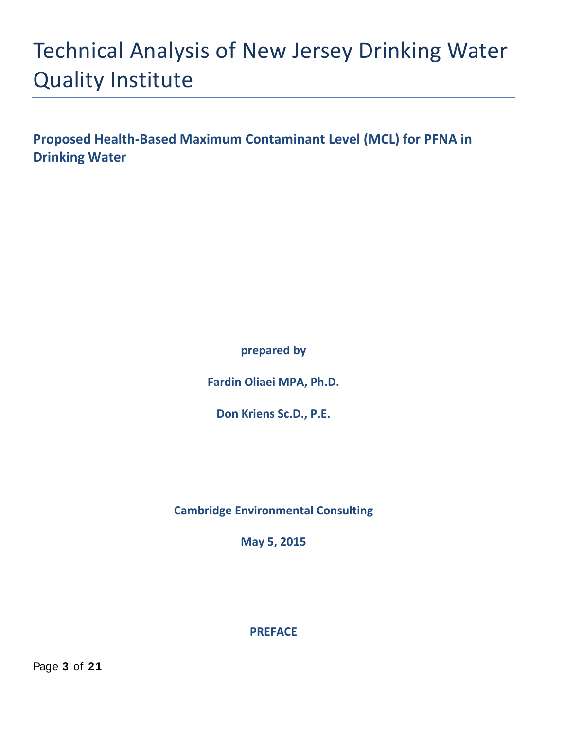# Technical Analysis of New Jersey Drinking Water Quality Institute

**Proposed Health-Based Maximum Contaminant Level (MCL) for PFNA in Drinking Water**

**prepared by** 

**Fardin Oliaei MPA, Ph.D.** 

**Don Kriens Sc.D., P.E.**

**Cambridge Environmental Consulting**

**May 5, 2015**

**PREFACE**

Page **3** of **2 1**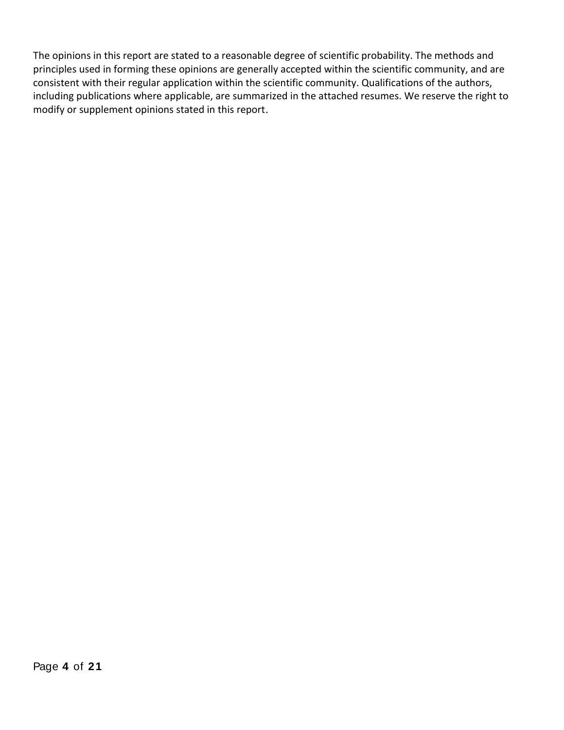The opinions in this report are stated to a reasonable degree of scientific probability. The methods and principles used in forming these opinions are generally accepted within the scientific community, and are consistent with their regular application within the scientific community. Qualifications of the authors, including publications where applicable, are summarized in the attached resumes. We reserve the right to modify or supplement opinions stated in this report.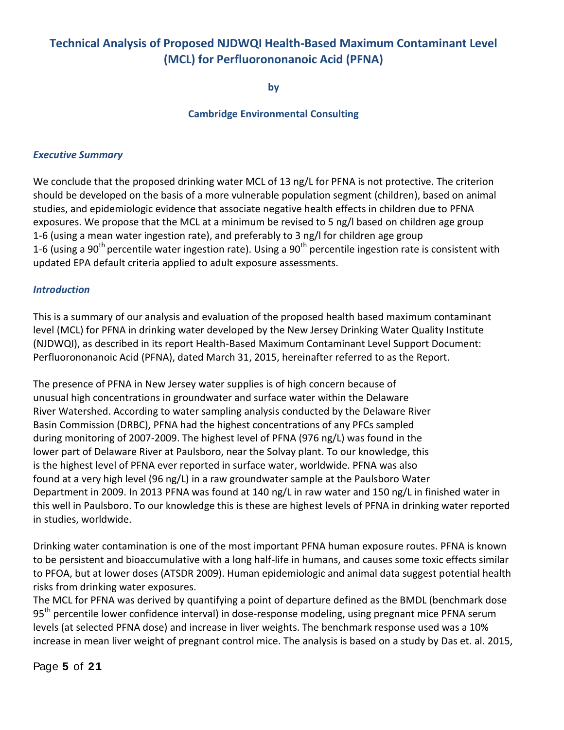# **Technical Analysis of Proposed NJDWQI Health-Based Maximum Contaminant Level (MCL) for Perfluorononanoic Acid (PFNA)**

**by**

#### **Cambridge Environmental Consulting**

#### *Executive Summary*

We conclude that the proposed drinking water MCL of 13 ng/L for PFNA is not protective. The criterion should be developed on the basis of a more vulnerable population segment (children), based on animal studies, and epidemiologic evidence that associate negative health effects in children due to PFNA exposures. We propose that the MCL at a minimum be revised to 5 ng/l based on children age group 1-6 (using a mean water ingestion rate), and preferably to 3 ng/l for children age group 1-6 (using a 90<sup>th</sup> percentile water ingestion rate). Using a 90<sup>th</sup> percentile ingestion rate is consistent with updated EPA default criteria applied to adult exposure assessments.

#### *Introduction*

This is a summary of our analysis and evaluation of the proposed health based maximum contaminant level (MCL) for PFNA in drinking water developed by the New Jersey Drinking Water Quality Institute (NJDWQI), as described in its report Health-Based Maximum Contaminant Level Support Document: Perfluorononanoic Acid (PFNA), dated March 31, 2015, hereinafter referred to as the Report.

The presence of PFNA in New Jersey water supplies is of high concern because of unusual high concentrations in groundwater and surface water within the Delaware River Watershed. According to water sampling analysis conducted by the Delaware River Basin Commission (DRBC), PFNA had the highest concentrations of any PFCs sampled during monitoring of 2007-2009. The highest level of PFNA (976 ng/L) was found in the lower part of Delaware River at Paulsboro, near the Solvay plant. To our knowledge, this is the highest level of PFNA ever reported in surface water, worldwide. PFNA was also found at a very high level (96 ng/L) in a raw groundwater sample at the Paulsboro Water Department in 2009. In 2013 PFNA was found at 140 ng/L in raw water and 150 ng/L in finished water in this well in Paulsboro. To our knowledge this is these are highest levels of PFNA in drinking water reported in studies, worldwide.

Drinking water contamination is one of the most important PFNA human exposure routes. PFNA is known to be persistent and bioaccumulative with a long half-life in humans, and causes some toxic effects similar to PFOA, but at lower doses (ATSDR 2009). Human epidemiologic and animal data suggest potential health risks from drinking water exposures.

The MCL for PFNA was derived by quantifying a point of departure defined as the BMDL (benchmark dose 95<sup>th</sup> percentile lower confidence interval) in dose-response modeling, using pregnant mice PFNA serum levels (at selected PFNA dose) and increase in liver weights. The benchmark response used was a 10% increase in mean liver weight of pregnant control mice. The analysis is based on a study by Das et. al. 2015,

Page **5** of **2 1**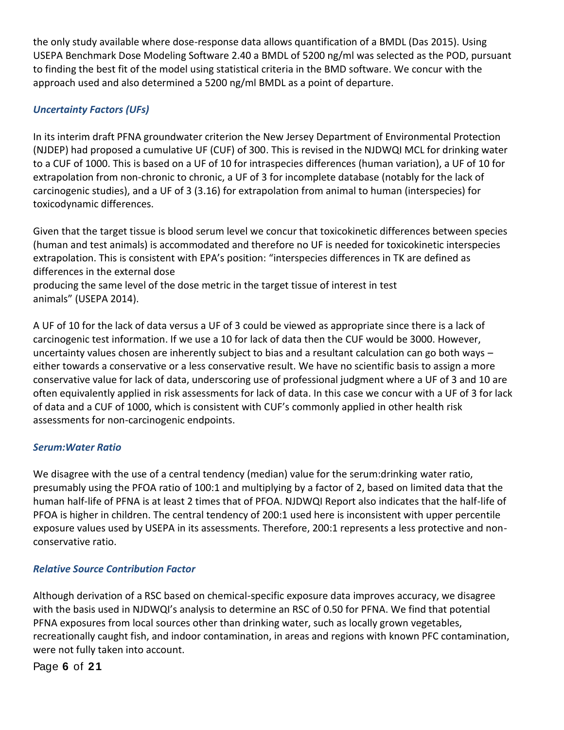the only study available where dose-response data allows quantification of a BMDL (Das 2015). Using USEPA Benchmark Dose Modeling Software 2.40 a BMDL of 5200 ng/ml was selected as the POD, pursuant to finding the best fit of the model using statistical criteria in the BMD software. We concur with the approach used and also determined a 5200 ng/ml BMDL as a point of departure.

# *Uncertainty Factors (UFs)*

In its interim draft PFNA groundwater criterion the New Jersey Department of Environmental Protection (NJDEP) had proposed a cumulative UF (CUF) of 300. This is revised in the NJDWQI MCL for drinking water to a CUF of 1000. This is based on a UF of 10 for intraspecies differences (human variation), a UF of 10 for extrapolation from non-chronic to chronic, a UF of 3 for incomplete database (notably for the lack of carcinogenic studies), and a UF of 3 (3.16) for extrapolation from animal to human (interspecies) for toxicodynamic differences.

Given that the target tissue is blood serum level we concur that toxicokinetic differences between species (human and test animals) is accommodated and therefore no UF is needed for toxicokinetic interspecies extrapolation. This is consistent with EPA's position: "interspecies differences in TK are defined as differences in the external dose

producing the same level of the dose metric in the target tissue of interest in test animals" (USEPA 2014).

A UF of 10 for the lack of data versus a UF of 3 could be viewed as appropriate since there is a lack of carcinogenic test information. If we use a 10 for lack of data then the CUF would be 3000. However, uncertainty values chosen are inherently subject to bias and a resultant calculation can go both ways – either towards a conservative or a less conservative result. We have no scientific basis to assign a more conservative value for lack of data, underscoring use of professional judgment where a UF of 3 and 10 are often equivalently applied in risk assessments for lack of data. In this case we concur with a UF of 3 for lack of data and a CUF of 1000, which is consistent with CUF's commonly applied in other health risk assessments for non-carcinogenic endpoints.

#### *Serum:Water Ratio*

We disagree with the use of a central tendency (median) value for the serum:drinking water ratio, presumably using the PFOA ratio of 100:1 and multiplying by a factor of 2, based on limited data that the human half-life of PFNA is at least 2 times that of PFOA. NJDWQI Report also indicates that the half-life of PFOA is higher in children. The central tendency of 200:1 used here is inconsistent with upper percentile exposure values used by USEPA in its assessments. Therefore, 200:1 represents a less protective and nonconservative ratio.

#### *Relative Source Contribution Factor*

Although derivation of a RSC based on chemical-specific exposure data improves accuracy, we disagree with the basis used in NJDWQI's analysis to determine an RSC of 0.50 for PFNA. We find that potential PFNA exposures from local sources other than drinking water, such as locally grown vegetables, recreationally caught fish, and indoor contamination, in areas and regions with known PFC contamination, were not fully taken into account.

Page **6** of **2 1**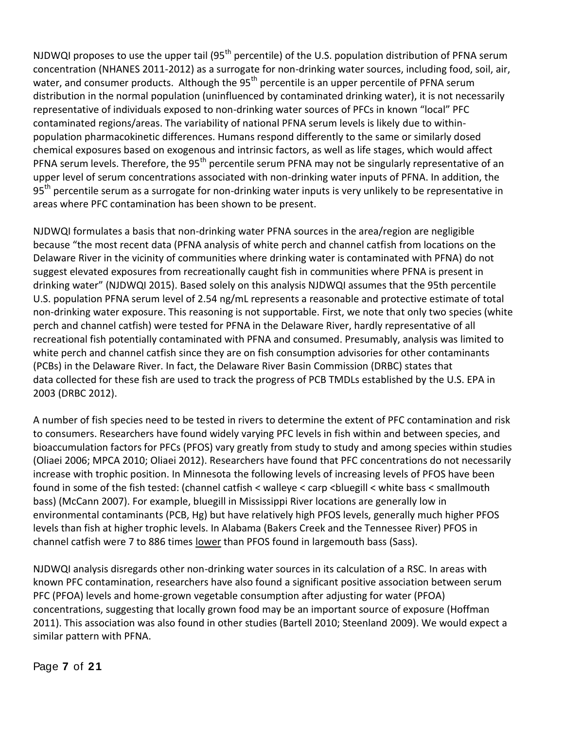NJDWQI proposes to use the upper tail (95<sup>th</sup> percentile) of the U.S. population distribution of PFNA serum concentration (NHANES 2011-2012) as a surrogate for non-drinking water sources, including food, soil, air, water, and consumer products. Although the  $95<sup>th</sup>$  percentile is an upper percentile of PFNA serum distribution in the normal population (uninfluenced by contaminated drinking water), it is not necessarily representative of individuals exposed to non-drinking water sources of PFCs in known "local" PFC contaminated regions/areas. The variability of national PFNA serum levels is likely due to withinpopulation pharmacokinetic differences. Humans respond differently to the same or similarly dosed chemical exposures based on exogenous and intrinsic factors, as well as life stages, which would affect PFNA serum levels. Therefore, the 95<sup>th</sup> percentile serum PFNA may not be singularly representative of an upper level of serum concentrations associated with non-drinking water inputs of PFNA. In addition, the 95<sup>th</sup> percentile serum as a surrogate for non-drinking water inputs is very unlikely to be representative in areas where PFC contamination has been shown to be present.

NJDWQI formulates a basis that non-drinking water PFNA sources in the area/region are negligible because "the most recent data (PFNA analysis of white perch and channel catfish from locations on the Delaware River in the vicinity of communities where drinking water is contaminated with PFNA) do not suggest elevated exposures from recreationally caught fish in communities where PFNA is present in drinking water" (NJDWQI 2015). Based solely on this analysis NJDWQI assumes that the 95th percentile U.S. population PFNA serum level of 2.54 ng/mL represents a reasonable and protective estimate of total non-drinking water exposure. This reasoning is not supportable. First, we note that only two species (white perch and channel catfish) were tested for PFNA in the Delaware River, hardly representative of all recreational fish potentially contaminated with PFNA and consumed. Presumably, analysis was limited to white perch and channel catfish since they are on fish consumption advisories for other contaminants (PCBs) in the Delaware River. In fact, the Delaware River Basin Commission (DRBC) states that data collected for these fish are used to track the progress of PCB TMDLs established by the U.S. EPA in 2003 (DRBC 2012).

A number of fish species need to be tested in rivers to determine the extent of PFC contamination and risk to consumers. Researchers have found widely varying PFC levels in fish within and between species, and bioaccumulation factors for PFCs (PFOS) vary greatly from study to study and among species within studies (Oliaei 2006; MPCA 2010; Oliaei 2012). Researchers have found that PFC concentrations do not necessarily increase with trophic position. In Minnesota the following levels of increasing levels of PFOS have been found in some of the fish tested: (channel catfish < walleye < carp <bluegill < white bass < smallmouth bass) (McCann 2007). For example, bluegill in Mississippi River locations are generally low in environmental contaminants (PCB, Hg) but have relatively high PFOS levels, generally much higher PFOS levels than fish at higher trophic levels. In Alabama (Bakers Creek and the Tennessee River) PFOS in channel catfish were 7 to 886 times lower than PFOS found in largemouth bass (Sass).

NJDWQI analysis disregards other non-drinking water sources in its calculation of a RSC. In areas with known PFC contamination, researchers have also found a significant positive association between serum PFC (PFOA) levels and home-grown vegetable consumption after adjusting for water (PFOA) concentrations, suggesting that locally grown food may be an important source of exposure (Hoffman 2011). This association was also found in other studies (Bartell 2010; Steenland 2009). We would expect a similar pattern with PFNA.

Page **7** of **2 1**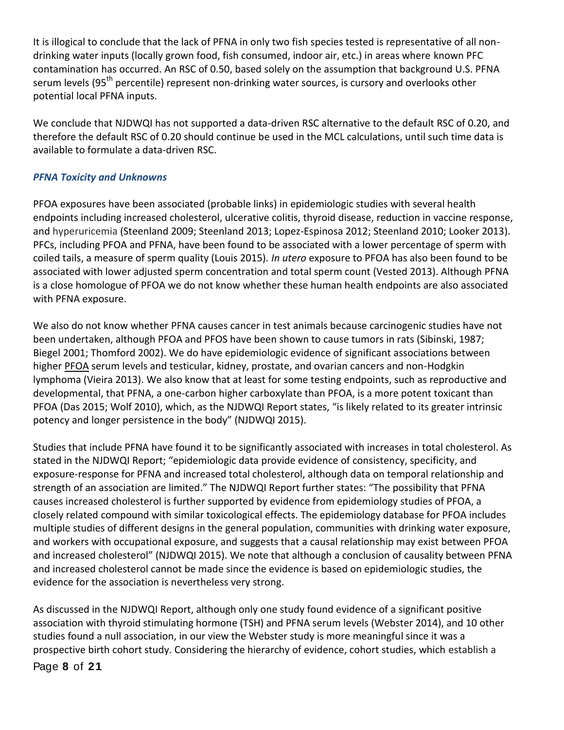It is illogical to conclude that the lack of PFNA in only two fish species tested is representative of all nondrinking water inputs (locally grown food, fish consumed, indoor air, etc.) in areas where known PFC contamination has occurred. An RSC of 0.50, based solely on the assumption that background U.S. PFNA serum levels (95<sup>th</sup> percentile) represent non-drinking water sources, is cursory and overlooks other potential local PFNA inputs.

We conclude that NJDWQI has not supported a data-driven RSC alternative to the default RSC of 0.20, and therefore the default RSC of 0.20 should continue be used in the MCL calculations, until such time data is available to formulate a data-driven RSC.

#### *PFNA Toxicity and Unknowns*

PFOA exposures have been associated (probable links) in epidemiologic studies with several health endpoints including increased cholesterol, ulcerative colitis, thyroid disease, reduction in vaccine response, and hyperuricemia (Steenland 2009; Steenland 2013; Lopez-Espinosa 2012; Steenland 2010; Looker 2013). PFCs, including PFOA and PFNA, have been found to be associated with a lower percentage of sperm with coiled tails, a measure of sperm quality (Louis 2015). *In utero* exposure to PFOA has also been found to be associated with lower adjusted sperm concentration and total sperm count (Vested 2013). Although PFNA is a close homologue of PFOA we do not know whether these human health endpoints are also associated with PFNA exposure.

We also do not know whether PFNA causes cancer in test animals because carcinogenic studies have not been undertaken, although PFOA and PFOS have been shown to cause tumors in rats (Sibinski, 1987; Biegel 2001; Thomford 2002). We do have epidemiologic evidence of significant associations between higher PFOA serum levels and testicular, kidney, prostate, and ovarian cancers and non-Hodgkin lymphoma (Vieira 2013). We also know that at least for some testing endpoints, such as reproductive and developmental, that PFNA, a one-carbon higher carboxylate than PFOA, is a more potent toxicant than PFOA (Das 2015; Wolf 2010), which, as the NJDWQI Report states, "is likely related to its greater intrinsic potency and longer persistence in the body" (NJDWQI 2015).

Studies that include PFNA have found it to be significantly associated with increases in total cholesterol. As stated in the NJDWQI Report; "epidemiologic data provide evidence of consistency, specificity, and exposure-response for PFNA and increased total cholesterol, although data on temporal relationship and strength of an association are limited." The NJDWQI Report further states: "The possibility that PFNA causes increased cholesterol is further supported by evidence from epidemiology studies of PFOA, a closely related compound with similar toxicological effects. The epidemiology database for PFOA includes multiple studies of different designs in the general population, communities with drinking water exposure, and workers with occupational exposure, and suggests that a causal relationship may exist between PFOA and increased cholesterol" (NJDWQI 2015). We note that although a conclusion of causality between PFNA and increased cholesterol cannot be made since the evidence is based on epidemiologic studies, the evidence for the association is nevertheless very strong.

As discussed in the NJDWQI Report, although only one study found evidence of a significant positive association with thyroid stimulating hormone (TSH) and PFNA serum levels (Webster 2014), and 10 other studies found a null association, in our view the Webster study is more meaningful since it was a prospective birth cohort study. Considering the hierarchy of evidence, cohort studies, which establish a

Page **8** of **2 1**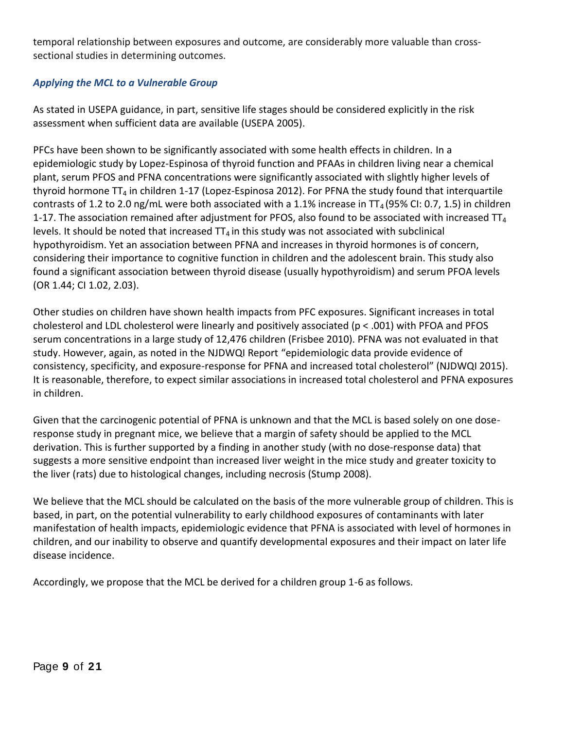temporal relationship between exposures and outcome, are considerably more valuable than crosssectional studies in determining outcomes.

#### *Applying the MCL to a Vulnerable Group*

As stated in USEPA guidance, in part, sensitive life stages should be considered explicitly in the risk assessment when sufficient data are available (USEPA 2005).

PFCs have been shown to be significantly associated with some health effects in children. In a epidemiologic study by Lopez-Espinosa of thyroid function and PFAAs in children living near a chemical plant, serum PFOS and PFNA concentrations were significantly associated with slightly higher levels of thyroid hormone  $TT_4$  in children 1-17 (Lopez-Espinosa 2012). For PFNA the study found that interquartile contrasts of 1.2 to 2.0 ng/mL were both associated with a 1.1% increase in TT<sub>4</sub> (95% CI: 0.7, 1.5) in children 1-17. The association remained after adjustment for PFOS, also found to be associated with increased  $TT_4$ levels. It should be noted that increased  $TT_4$  in this study was not associated with subclinical hypothyroidism. Yet an association between PFNA and increases in thyroid hormones is of concern, considering their importance to cognitive function in children and the adolescent brain. This study also found a significant association between thyroid disease (usually hypothyroidism) and serum PFOA levels (OR 1.44; CI 1.02, 2.03).

Other studies on children have shown health impacts from PFC exposures. Significant increases in total cholesterol and LDL cholesterol were linearly and positively associated (p < .001) with PFOA and PFOS serum concentrations in a large study of 12,476 children (Frisbee 2010). PFNA was not evaluated in that study. However, again, as noted in the NJDWQI Report "epidemiologic data provide evidence of consistency, specificity, and exposure-response for PFNA and increased total cholesterol" (NJDWQI 2015). It is reasonable, therefore, to expect similar associations in increased total cholesterol and PFNA exposures in children.

Given that the carcinogenic potential of PFNA is unknown and that the MCL is based solely on one doseresponse study in pregnant mice, we believe that a margin of safety should be applied to the MCL derivation. This is further supported by a finding in another study (with no dose-response data) that suggests a more sensitive endpoint than increased liver weight in the mice study and greater toxicity to the liver (rats) due to histological changes, including necrosis (Stump 2008).

We believe that the MCL should be calculated on the basis of the more vulnerable group of children. This is based, in part, on the potential vulnerability to early childhood exposures of contaminants with later manifestation of health impacts, epidemiologic evidence that PFNA is associated with level of hormones in children, and our inability to observe and quantify developmental exposures and their impact on later life disease incidence.

Accordingly, we propose that the MCL be derived for a children group 1-6 as follows.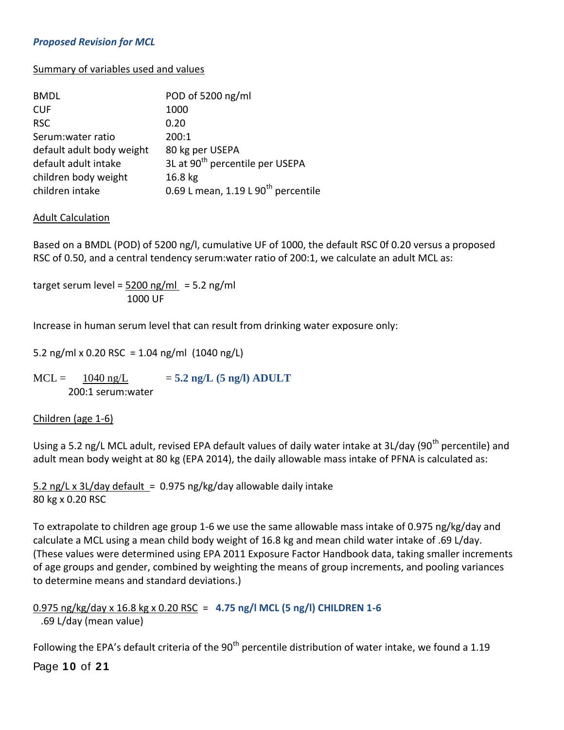#### *Proposed Revision for MCL*

#### Summary of variables used and values

| <b>BMDL</b>               | POD of 5200 ng/ml                               |
|---------------------------|-------------------------------------------------|
| <b>CUF</b>                | 1000                                            |
| <b>RSC</b>                | 0.20                                            |
| Serum:water ratio         | 200:1                                           |
| default adult body weight | 80 kg per USEPA                                 |
| default adult intake      | 3L at 90 <sup>th</sup> percentile per USEPA     |
| children body weight      | 16.8 <sub>kg</sub>                              |
| children intake           | 0.69 L mean, 1.19 L 90 <sup>th</sup> percentile |

#### Adult Calculation

Based on a BMDL (POD) of 5200 ng/l, cumulative UF of 1000, the default RSC 0f 0.20 versus a proposed RSC of 0.50, and a central tendency serum:water ratio of 200:1, we calculate an adult MCL as:

target serum level =  $5200$  ng/ml =  $5.2$  ng/ml 1000 UF

Increase in human serum level that can result from drinking water exposure only:

5.2 ng/ml x 0.20 RSC = 1.04 ng/ml  $(1040 \text{ ng/L})$ 

#### $MCL = \frac{1040 \text{ ng/L}}{1040 \text{ mg/L}} = 5.2 \text{ ng/L} (5 \text{ ng/l}) ADULT$ 200:1 serum:water

#### Children (age 1-6)

Using a 5.2 ng/L MCL adult, revised EPA default values of daily water intake at 3L/day (90<sup>th</sup> percentile) and adult mean body weight at 80 kg (EPA 2014), the daily allowable mass intake of PFNA is calculated as:

5.2 ng/L x 3L/day default = 0.975 ng/kg/day allowable daily intake 80 kg x 0.20 RSC

To extrapolate to children age group 1-6 we use the same allowable mass intake of 0.975 ng/kg/day and calculate a MCL using a mean child body weight of 16.8 kg and mean child water intake of .69 L/day. (These values were determined using EPA 2011 Exposure Factor Handbook data, taking smaller increments of age groups and gender, combined by weighting the means of group increments, and pooling variances to determine means and standard deviations.)

#### 0.975 ng/kg/day x 16.8 kg x 0.20 RSC = **4.75 ng/l MCL (5 ng/l) CHILDREN 1-6** .69 L/day (mean value)

Following the EPA's default criteria of the 90<sup>th</sup> percentile distribution of water intake, we found a 1.19

Page **1 0** of **2 1**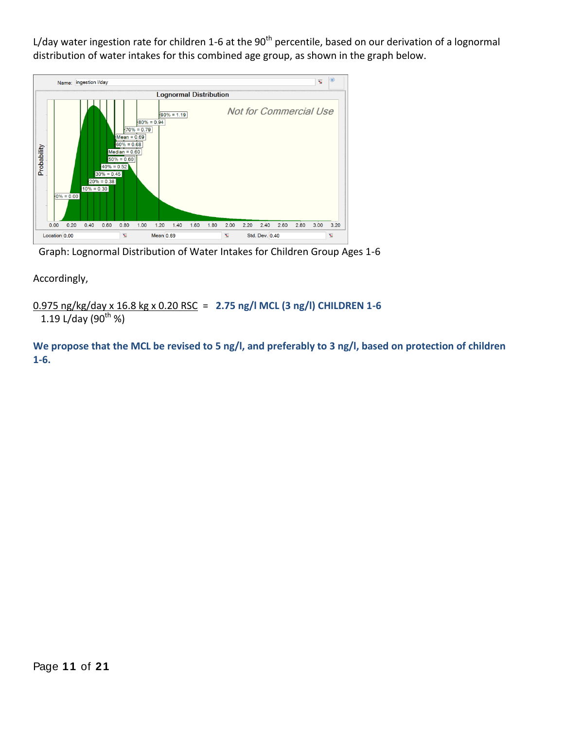L/day water ingestion rate for children 1-6 at the  $90<sup>th</sup>$  percentile, based on our derivation of a lognormal distribution of water intakes for this combined age group, as shown in the graph below.



Graph: Lognormal Distribution of Water Intakes for Children Group Ages 1-6

Accordingly,

0.975 ng/kg/day x 16.8 kg x 0.20 RSC = **2.75 ng/l MCL (3 ng/l) CHILDREN 1-6**

1.19 L/day (90<sup>th %</sup>)

**We propose that the MCL be revised to 5 ng/l, and preferably to 3 ng/l, based on protection of children 1-6.**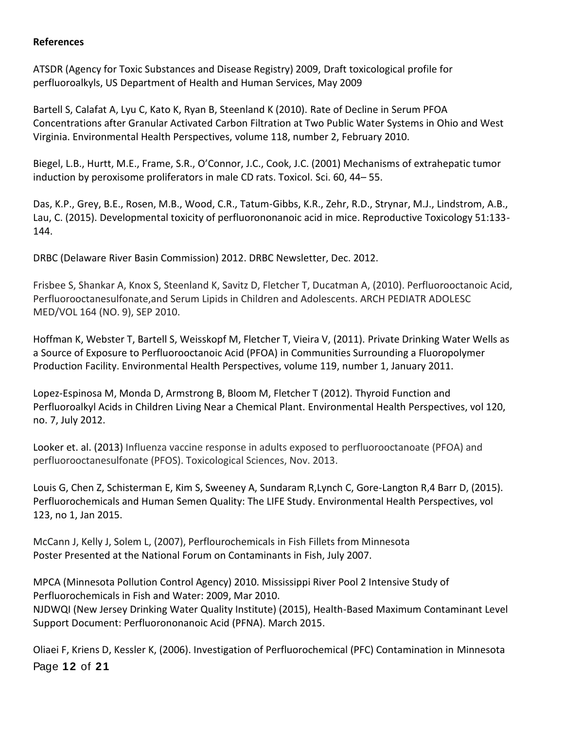#### **References**

ATSDR (Agency for Toxic Substances and Disease Registry) 2009, Draft toxicological profile for perfluoroalkyls, US Department of Health and Human Services, May 2009

Bartell S, Calafat A, Lyu C, Kato K, Ryan B, Steenland K (2010). Rate of Decline in Serum PFOA Concentrations after Granular Activated Carbon Filtration at Two Public Water Systems in Ohio and West Virginia. Environmental Health Perspectives, volume 118, number 2, February 2010.

Biegel, L.B., Hurtt, M.E., Frame, S.R., O'Connor, J.C., Cook, J.C. (2001) Mechanisms of extrahepatic tumor induction by peroxisome proliferators in male CD rats. Toxicol. Sci. 60, 44– 55.

Das, K.P., Grey, B.E., Rosen, M.B., Wood, C.R., Tatum-Gibbs, K.R., Zehr, R.D., Strynar, M.J., Lindstrom, A.B., Lau, C. (2015). Developmental toxicity of perfluorononanoic acid in mice. Reproductive Toxicology 51:133- 144.

DRBC (Delaware River Basin Commission) 2012. DRBC Newsletter, Dec. 2012.

Frisbee S, Shankar A, Knox S, Steenland K, Savitz D, Fletcher T, Ducatman A, (2010). Perfluorooctanoic Acid, Perfluorooctanesulfonate,and Serum Lipids in Children and Adolescents. ARCH PEDIATR ADOLESC MED/VOL 164 (NO. 9), SEP 2010.

Hoffman K, Webster T, Bartell S, Weisskopf M, Fletcher T, Vieira V, (2011). Private Drinking Water Wells as a Source of Exposure to Perfluorooctanoic Acid (PFOA) in Communities Surrounding a Fluoropolymer Production Facility. Environmental Health Perspectives, volume 119, number 1, January 2011.

Lopez-Espinosa M, Monda D, Armstrong B, Bloom M, Fletcher T (2012). Thyroid Function and Perfluoroalkyl Acids in Children Living Near a Chemical Plant. Environmental Health Perspectives, vol 120, no. 7, July 2012.

Looker et. al. (2013) Influenza vaccine response in adults exposed to perfluorooctanoate (PFOA) and perfluorooctanesulfonate (PFOS). Toxicological Sciences, Nov. 2013.

Louis G, Chen Z, Schisterman E, Kim S, Sweeney A, Sundaram R,Lynch C, Gore-Langton R,4 Barr D, (2015). Perfluorochemicals and Human Semen Quality: The LIFE Study. Environmental Health Perspectives, vol 123, no 1, Jan 2015.

McCann J, Kelly J, Solem L, (2007), Perflourochemicals in Fish Fillets from Minnesota Poster Presented at the National Forum on Contaminants in Fish, July 2007.

MPCA (Minnesota Pollution Control Agency) 2010. Mississippi River Pool 2 Intensive Study of Perfluorochemicals in Fish and Water: 2009, Mar 2010. NJDWQI (New Jersey Drinking Water Quality Institute) (2015), Health-Based Maximum Contaminant Level Support Document: Perfluorononanoic Acid (PFNA). March 2015.

Page **1 2** of **2 1** Oliaei F, Kriens D, Kessler K, (2006). Investigation of Perfluorochemical (PFC) Contamination in Minnesota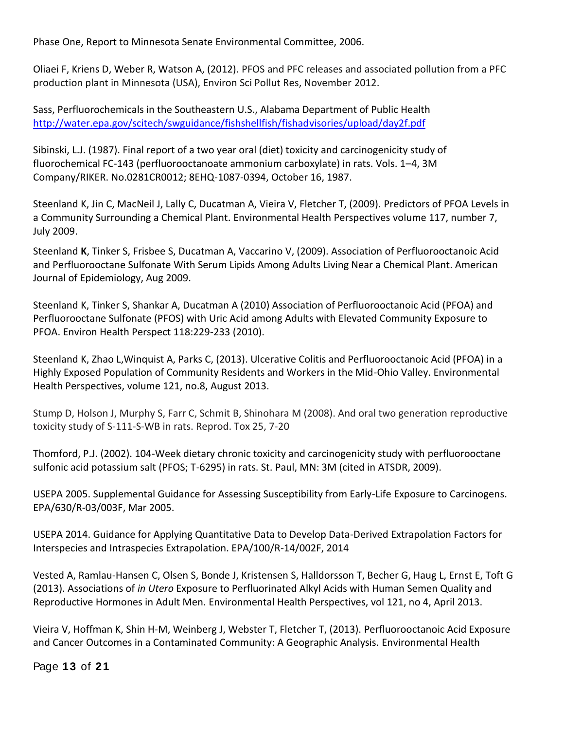Phase One, Report to Minnesota Senate Environmental Committee, 2006.

Oliaei F, Kriens D, Weber R, Watson A, (2012). PFOS and PFC releases and associated pollution from a PFC production plant in Minnesota (USA), Environ Sci Pollut Res, November 2012.

Sass, Perfluorochemicals in the Southeastern U.S., Alabama Department of Public Health <http://water.epa.gov/scitech/swguidance/fishshellfish/fishadvisories/upload/day2f.pdf>

Sibinski, L.J. (1987). Final report of a two year oral (diet) toxicity and carcinogenicity study of fluorochemical FC-143 (perfluorooctanoate ammonium carboxylate) in rats. Vols. 1–4, 3M Company/RIKER. No.0281CR0012; 8EHQ-1087-0394, October 16, 1987.

Steenland K, Jin C, MacNeil J, Lally C, Ducatman A, Vieira V, Fletcher T, (2009). Predictors of PFOA Levels in a Community Surrounding a Chemical Plant. Environmental Health Perspectives volume 117, number 7, July 2009.

Steenland **K**, Tinker S, Frisbee S, Ducatman A, Vaccarino V, (2009). Association of Perfluorooctanoic Acid and Perfluorooctane Sulfonate With Serum Lipids Among Adults Living Near a Chemical Plant. American Journal of Epidemiology, Aug 2009.

Steenland K, Tinker S, Shankar A, Ducatman A (2010) Association of Perfluorooctanoic Acid (PFOA) and Perfluorooctane Sulfonate (PFOS) with Uric Acid among Adults with Elevated Community Exposure to PFOA. Environ Health Perspect 118:229-233 (2010).

Steenland K, Zhao L,Winquist A, Parks C, (2013). Ulcerative Colitis and Perfluorooctanoic Acid (PFOA) in a Highly Exposed Population of Community Residents and Workers in the Mid-Ohio Valley. Environmental Health Perspectives, volume 121, no.8, August 2013.

Stump D, Holson J, Murphy S, Farr C, Schmit B, Shinohara M (2008). And oral two generation reproductive toxicity study of S-111-S-WB in rats. Reprod. Tox 25, 7-20

Thomford, P.J. (2002). 104-Week dietary chronic toxicity and carcinogenicity study with perfluorooctane sulfonic acid potassium salt (PFOS; T-6295) in rats. St. Paul, MN: 3M (cited in ATSDR, 2009).

USEPA 2005. Supplemental Guidance for Assessing Susceptibility from Early-Life Exposure to Carcinogens. EPA/630/R-03/003F, Mar 2005.

USEPA 2014. Guidance for Applying Quantitative Data to Develop Data-Derived Extrapolation Factors for Interspecies and Intraspecies Extrapolation. EPA/100/R-14/002F, 2014

Vested A, Ramlau-Hansen C, Olsen S, Bonde J, Kristensen S, Halldorsson T, Becher G, Haug L, Ernst E, Toft G (2013). Associations of *in Utero* Exposure to Perfluorinated Alkyl Acids with Human Semen Quality and Reproductive Hormones in Adult Men. Environmental Health Perspectives, vol 121, no 4, April 2013.

Vieira V, Hoffman K, Shin H-M, Weinberg J, Webster T, Fletcher T, (2013). Perfluorooctanoic Acid Exposure and Cancer Outcomes in a Contaminated Community: A Geographic Analysis. Environmental Health

Page **1 3** of **2 1**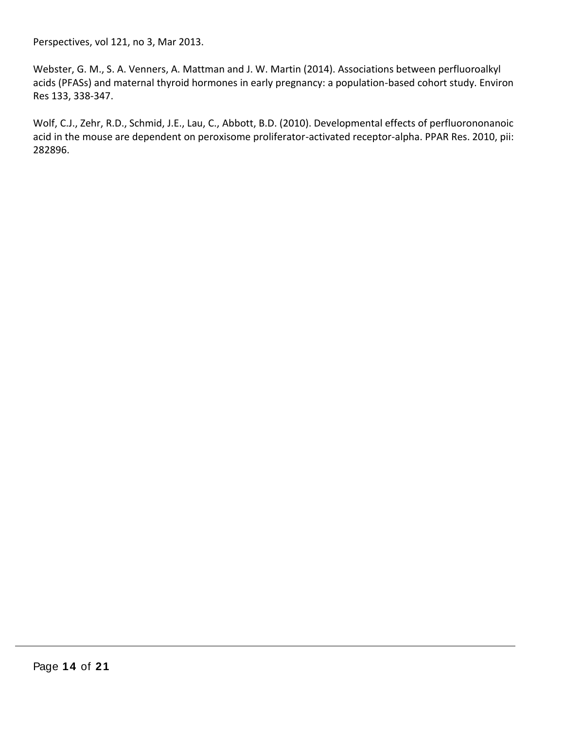Perspectives, vol 121, no 3, Mar 2013.

Webster, G. M., S. A. Venners, A. Mattman and J. W. Martin (2014). Associations between perfluoroalkyl acids (PFASs) and maternal thyroid hormones in early pregnancy: a population-based cohort study. Environ Res 133, 338-347.

Wolf, C.J., Zehr, R.D., Schmid, J.E., Lau, C., Abbott, B.D. (2010). Developmental effects of perfluorononanoic acid in the mouse are dependent on peroxisome proliferator-activated receptor-alpha. PPAR Res. 2010, pii: 282896.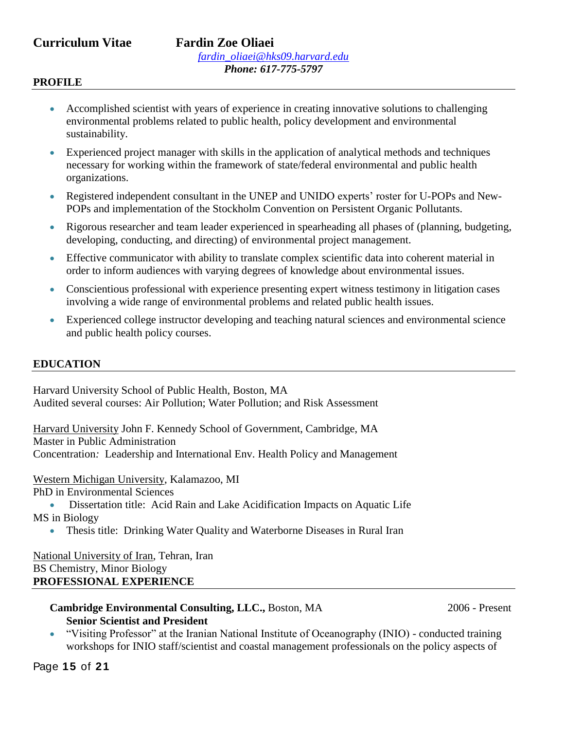# **Curriculum Vitae Fardin Zoe Oliaei**

#### **PROFILE**

- Accomplished scientist with years of experience in creating innovative solutions to challenging environmental problems related to public health, policy development and environmental sustainability.
- Experienced project manager with skills in the application of analytical methods and techniques necessary for working within the framework of state/federal environmental and public health organizations.
- Registered independent consultant in the UNEP and UNIDO experts' roster for U-POPs and New-POPs and implementation of the Stockholm Convention on Persistent Organic Pollutants.
- Rigorous researcher and team leader experienced in spearheading all phases of (planning, budgeting, developing, conducting, and directing) of environmental project management.
- Effective communicator with ability to translate complex scientific data into coherent material in order to inform audiences with varying degrees of knowledge about environmental issues.
- Conscientious professional with experience presenting expert witness testimony in litigation cases involving a wide range of environmental problems and related public health issues.
- Experienced college instructor developing and teaching natural sciences and environmental science and public health policy courses.

#### **EDUCATION**

Harvard University School of Public Health, Boston, MA Audited several courses: Air Pollution; Water Pollution; and Risk Assessment

Harvard University John F. Kennedy School of Government, Cambridge, MA Master in Public Administration Concentration*:* Leadership and International Env. Health Policy and Management

Western Michigan University, Kalamazoo, MI

PhD in Environmental Sciences

 Dissertation title: Acid Rain and Lake Acidification Impacts on Aquatic Life MS in Biology

Thesis title: Drinking Water Quality and Waterborne Diseases in Rural Iran

National University of Iran, Tehran, Iran BS Chemistry, Minor Biology **PROFESSIONAL EXPERIENCE**

#### **Cambridge Environmental Consulting, LLC.,** Boston, MA 2006 - Present **Senior Scientist and President**

 "Visiting Professor" at the Iranian National Institute of Oceanography (INIO) - conducted training workshops for INIO staff/scientist and coastal management professionals on the policy aspects of

Page **1 5** of **2 1**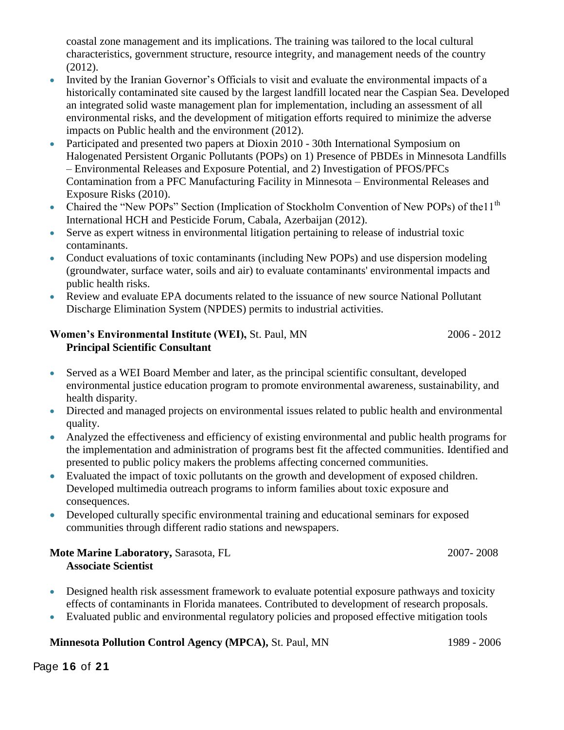coastal zone management and its implications. The training was tailored to the local cultural characteristics, government structure, resource integrity, and management needs of the country (2012).

- Invited by the Iranian Governor's Officials to visit and evaluate the environmental impacts of a historically contaminated site caused by the largest landfill located near the Caspian Sea. Developed an integrated solid waste management plan for implementation, including an assessment of all environmental risks, and the development of mitigation efforts required to minimize the adverse impacts on Public health and the environment (2012).
- Participated and presented two papers at Dioxin 2010 30th International Symposium on Halogenated Persistent Organic Pollutants (POPs) on 1) Presence of PBDEs in Minnesota Landfills – Environmental Releases and Exposure Potential, and 2) Investigation of PFOS/PFCs Contamination from a PFC Manufacturing Facility in Minnesota – Environmental Releases and Exposure Risks (2010).
- Chaired the "New POPs" Section (Implication of Stockholm Convention of New POPs) of the 11<sup>th</sup> International HCH and Pesticide Forum, Cabala, Azerbaijan (2012).
- Serve as expert witness in environmental litigation pertaining to release of industrial toxic contaminants.
- Conduct evaluations of toxic contaminants (including New POPs) and use dispersion modeling (groundwater, surface water, soils and air) to evaluate contaminants' environmental impacts and public health risks.
- Review and evaluate EPA documents related to the issuance of new source National Pollutant Discharge Elimination System (NPDES) permits to industrial activities.

#### **Women's Environmental Institute (WEI),** St. Paul, MN 2006 - 2012 **Principal Scientific Consultant**

- Served as a WEI Board Member and later, as the principal scientific consultant, developed environmental justice education program to promote environmental awareness, sustainability, and health disparity.
- Directed and managed projects on environmental issues related to public health and environmental quality.
- Analyzed the effectiveness and efficiency of existing environmental and public health programs for the implementation and administration of programs best fit the affected communities. Identified and presented to public policy makers the problems affecting concerned communities.
- Evaluated the impact of toxic pollutants on the growth and development of exposed children. Developed multimedia outreach programs to inform families about toxic exposure and consequences.
- Developed culturally specific environmental training and educational seminars for exposed communities through different radio stations and newspapers.

#### **Mote Marine Laboratory, Sarasota, FL 2007-2008 Associate Scientist**

- Designed health risk assessment framework to evaluate potential exposure pathways and toxicity effects of contaminants in Florida manatees. Contributed to development of research proposals.
- Evaluated public and environmental regulatory policies and proposed effective mitigation tools

### **Minnesota Pollution Control Agency (MPCA), St. Paul, MN 1989 - 2006**

Page **1 6** of **2 1**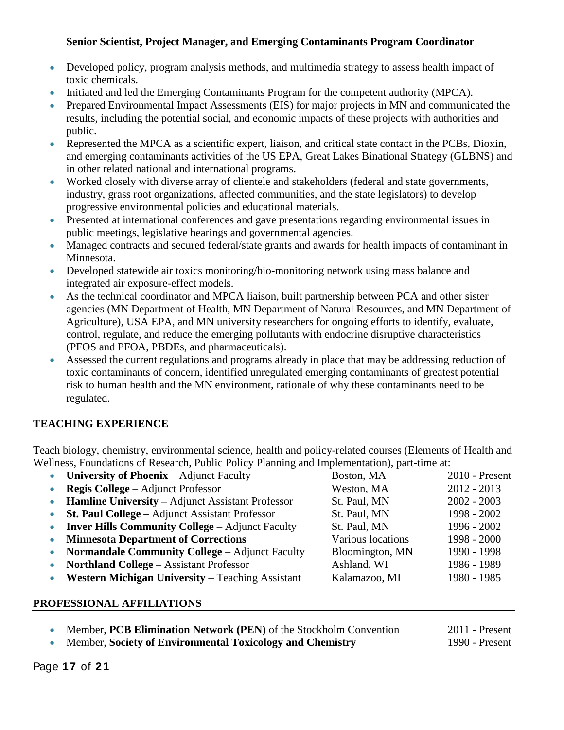#### **Senior Scientist, Project Manager, and Emerging Contaminants Program Coordinator**

- Developed policy, program analysis methods, and multimedia strategy to assess health impact of toxic chemicals.
- Initiated and led the Emerging Contaminants Program for the competent authority (MPCA).
- Prepared Environmental Impact Assessments (EIS) for major projects in MN and communicated the results, including the potential social, and economic impacts of these projects with authorities and public.
- Represented the MPCA as a scientific expert, liaison, and critical state contact in the PCBs, Dioxin, and emerging contaminants activities of the US EPA, Great Lakes Binational Strategy (GLBNS) and in other related national and international programs.
- Worked closely with diverse array of clientele and stakeholders (federal and state governments, industry, grass root organizations, affected communities, and the state legislators) to develop progressive environmental policies and educational materials.
- Presented at international conferences and gave presentations regarding environmental issues in public meetings, legislative hearings and governmental agencies.
- Managed contracts and secured federal/state grants and awards for health impacts of contaminant in Minnesota.
- Developed statewide air toxics monitoring/bio-monitoring network using mass balance and integrated air exposure-effect models.
- As the technical coordinator and MPCA liaison, built partnership between PCA and other sister agencies (MN Department of Health, MN Department of Natural Resources, and MN Department of Agriculture), USA EPA, and MN university researchers for ongoing efforts to identify, evaluate, control, regulate, and reduce the emerging pollutants with endocrine disruptive characteristics (PFOS and PFOA, PBDEs, and pharmaceuticals).
- Assessed the current regulations and programs already in place that may be addressing reduction of toxic contaminants of concern, identified unregulated emerging contaminants of greatest potential risk to human health and the MN environment, rationale of why these contaminants need to be regulated.

### **TEACHING EXPERIENCE**

Teach biology, chemistry, environmental science, health and policy-related courses (Elements of Health and Wellness, Foundations of Research, Public Policy Planning and Implementation), part-time at:

|           | • University of Phoenix $-$ Adjunct Faculty             | Boston, MA        | $2010$ - Present |
|-----------|---------------------------------------------------------|-------------------|------------------|
|           | <b>Regis College</b> – Adjunct Professor                | Weston, MA        | $2012 - 2013$    |
|           | <b>Hamline University – Adjunct Assistant Professor</b> | St. Paul, MN      | $2002 - 2003$    |
|           | <b>St. Paul College – Adjunct Assistant Professor</b>   | St. Paul, MN      | 1998 - 2002      |
| $\bullet$ | <b>Inver Hills Community College – Adjunct Faculty</b>  | St. Paul, MN      | 1996 - 2002      |
| $\bullet$ | <b>Minnesota Department of Corrections</b>              | Various locations | 1998 - 2000      |
| $\bullet$ | <b>Normandale Community College – Adjunct Faculty</b>   | Bloomington, MN   | 1990 - 1998      |
| $\bullet$ | <b>Northland College - Assistant Professor</b>          | Ashland, WI       | 1986 - 1989      |
|           | Western Michigan University - Teaching Assistant        | Kalamazoo, MI     | 1980 - 1985      |
|           |                                                         |                   |                  |

#### **PROFESSIONAL AFFILIATIONS**

Member, **PCB Elimination Network (PEN)** of the Stockholm Convention 2011 - Present

• Member, **Society of Environmental Toxicology and Chemistry** 1990 - Present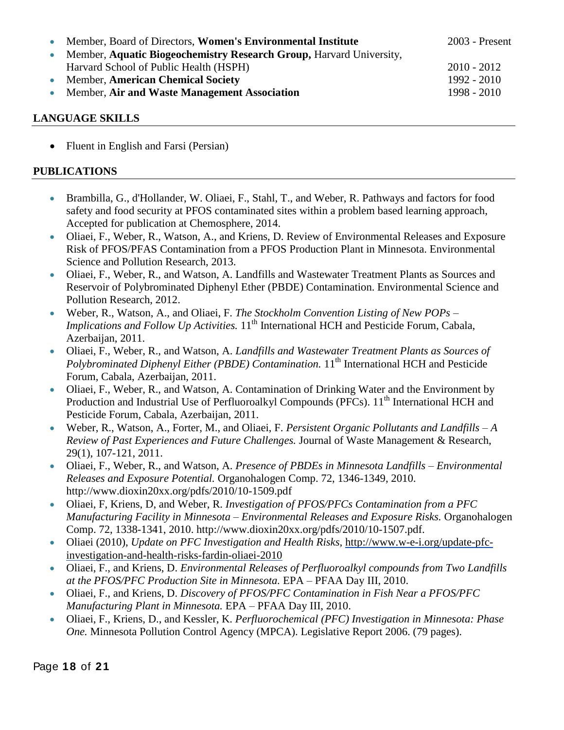| Member, Board of Directors, Women's Environmental Institute         | 2003 - Present |
|---------------------------------------------------------------------|----------------|
| Member, Aquatic Biogeochemistry Research Group, Harvard University, |                |
| Harvard School of Public Health (HSPH)                              | $2010 - 2012$  |
| <b>Member, American Chemical Society</b>                            | 1992 - 2010    |
| Member, Air and Waste Management Association                        | 1998 - 2010    |

#### **LANGUAGE SKILLS**

• Fluent in English and Farsi (Persian)

#### **PUBLICATIONS**

- Brambilla, G., d'Hollander, W. Oliaei, F., Stahl, T., and Weber, R. Pathways and factors for food safety and food security at PFOS contaminated sites within a problem based learning approach, Accepted for publication at Chemosphere, 2014.
- Oliaei, F., Weber, R., Watson, A., and Kriens, D. Review of Environmental Releases and Exposure Risk of PFOS/PFAS Contamination from a PFOS Production Plant in Minnesota. Environmental Science and Pollution Research, 2013.
- Oliaei, F., Weber, R., and Watson, A. Landfills and Wastewater Treatment Plants as Sources and Reservoir of Polybrominated Diphenyl Ether (PBDE) Contamination. Environmental Science and Pollution Research, 2012.
- Weber, R., Watson, A., and Oliaei, F. *The Stockholm Convention Listing of New POPs – Implications and Follow Up Activities.* 11<sup>th</sup> International HCH and Pesticide Forum, Cabala, Azerbaijan, 2011.
- Oliaei, F., Weber, R., and Watson, A. *Landfills and Wastewater Treatment Plants as Sources of Polybrominated Diphenyl Either (PBDE) Contamination.* 11<sup>th</sup> International HCH and Pesticide Forum, Cabala, Azerbaijan, 2011.
- Oliaei, F., Weber, R., and Watson, A. Contamination of Drinking Water and the Environment by Production and Industrial Use of Perfluoroalkyl Compounds (PFCs). 11<sup>th</sup> International HCH and Pesticide Forum, Cabala, Azerbaijan, 2011.
- Weber, R., Watson, A., Forter, M., and Oliaei, F. *Persistent Organic Pollutants and Landfills – A Review of Past Experiences and Future Challenges.* Journal of Waste Management & Research, 29(1), 107-121, 2011.
- Oliaei, F., Weber, R., and Watson, A. *Presence of PBDEs in Minnesota Landfills – Environmental Releases and Exposure Potential.* Organohalogen Comp. 72, 1346-1349, 2010. http://www.dioxin20xx.org/pdfs/2010/10-1509.pdf
- Oliaei, F, Kriens, D, and Weber, R. *Investigation of PFOS/PFCs Contamination from a PFC Manufacturing Facility in Minnesota – Environmental Releases and Exposure Risks.* Organohalogen Comp. 72, 1338-1341, 2010. http://www.dioxin20xx.org/pdfs/2010/10-1507.pdf.
- Oliaei (2010), *Update on PFC Investigation and Health Risks,* [http://www.w-e-i.org/update-pfc](http://www.w-e-i.org/update-pfc-investigation-and-health-risks-fardin-oliaei-2010)[investigation-and-health-risks-fardin-oliaei-2010](http://www.w-e-i.org/update-pfc-investigation-and-health-risks-fardin-oliaei-2010)
- Oliaei, F., and Kriens, D. *Environmental Releases of Perfluoroalkyl compounds from Two Landfills at the PFOS/PFC Production Site in Minnesota.* EPA – PFAA Day III, 2010.
- Oliaei, F., and Kriens, D. *Discovery of PFOS/PFC Contamination in Fish Near a PFOS/PFC Manufacturing Plant in Minnesota.* EPA – PFAA Day III, 2010.
- Oliaei, F., Kriens, D., and Kessler, K. *Perfluorochemical (PFC) Investigation in Minnesota: Phase One.* Minnesota Pollution Control Agency (MPCA). Legislative Report 2006. (79 pages).

Page **1 8** of **2 1**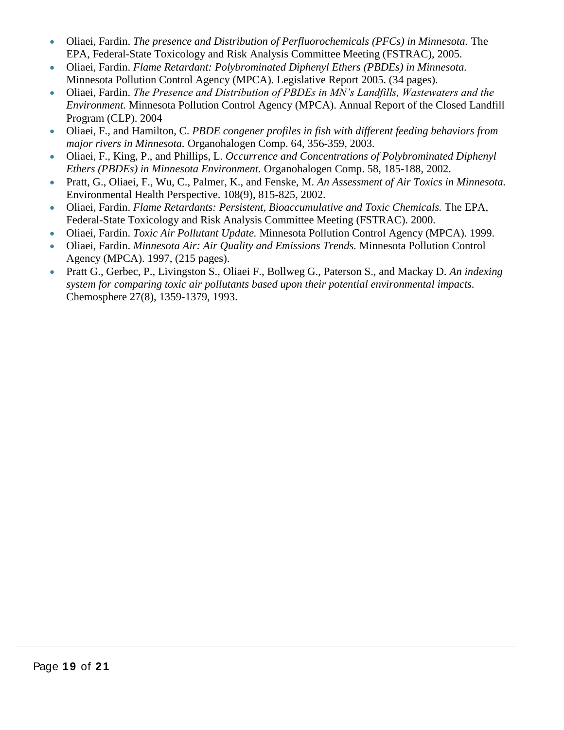- Oliaei, Fardin. *The presence and Distribution of Perfluorochemicals (PFCs) in Minnesota.* The EPA, Federal-State Toxicology and Risk Analysis Committee Meeting (FSTRAC), 2005.
- Oliaei, Fardin. *Flame Retardant: Polybrominated Diphenyl Ethers (PBDEs) in Minnesota.*  Minnesota Pollution Control Agency (MPCA). Legislative Report 2005. (34 pages).
- Oliaei, Fardin. *The Presence and Distribution of PBDEs in MN's Landfills, Wastewaters and the Environment.* Minnesota Pollution Control Agency (MPCA). Annual Report of the Closed Landfill Program (CLP). 2004
- Oliaei, F., and Hamilton, C. *PBDE congener profiles in fish with different feeding behaviors from major rivers in Minnesota.* Organohalogen Comp. 64, 356-359, 2003.
- Oliaei, F., King, P., and Phillips, L. *Occurrence and Concentrations of Polybrominated Diphenyl Ethers (PBDEs) in Minnesota Environment.* Organohalogen Comp. 58, 185-188, 2002.
- Pratt, G., Oliaei, F., Wu, C., Palmer, K., and Fenske, M. *An Assessment of Air Toxics in Minnesota.*  Environmental Health Perspective. 108(9), 815-825, 2002.
- Oliaei, Fardin. *Flame Retardants: Persistent, Bioaccumulative and Toxic Chemicals.* The EPA, Federal-State Toxicology and Risk Analysis Committee Meeting (FSTRAC). 2000.
- Oliaei, Fardin. *Toxic Air Pollutant Update.* Minnesota Pollution Control Agency (MPCA). 1999.
- Oliaei, Fardin. *Minnesota Air: Air Quality and Emissions Trends.* Minnesota Pollution Control Agency (MPCA). 1997, (215 pages).
- Pratt G., Gerbec, P., Livingston S., Oliaei F., Bollweg G., Paterson S., and Mackay D. *An indexing system for comparing toxic air pollutants based upon their potential environmental impacts.*  Chemosphere 27(8), 1359-1379, 1993.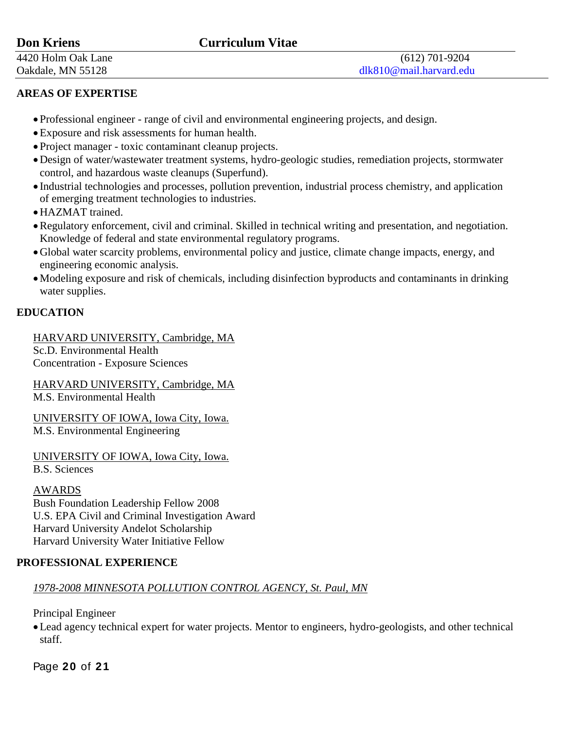# **Don Kriens Curriculum Vitae**

# **AREAS OF EXPERTISE**

- Professional engineer range of civil and environmental engineering projects, and design.
- Exposure and risk assessments for human health.
- Project manager toxic contaminant cleanup projects.
- Design of water/wastewater treatment systems, hydro-geologic studies, remediation projects, stormwater control, and hazardous waste cleanups (Superfund).
- Industrial technologies and processes, pollution prevention, industrial process chemistry, and application of emerging treatment technologies to industries.
- HAZMAT trained.
- Regulatory enforcement, civil and criminal. Skilled in technical writing and presentation, and negotiation. Knowledge of federal and state environmental regulatory programs.
- Global water scarcity problems, environmental policy and justice, climate change impacts, energy, and engineering economic analysis.
- Modeling exposure and risk of chemicals, including disinfection byproducts and contaminants in drinking water supplies.

# **EDUCATION**

HARVARD UNIVERSITY, Cambridge, MA Sc.D. Environmental Health Concentration - Exposure Sciences

HARVARD UNIVERSITY, Cambridge, MA M.S. Environmental Health

UNIVERSITY OF IOWA, Iowa City, Iowa. M.S. Environmental Engineering

UNIVERSITY OF IOWA, Iowa City, Iowa.

B.S. Sciences

# AWARDS

Bush Foundation Leadership Fellow 2008 U.S. EPA Civil and Criminal Investigation Award Harvard University Andelot Scholarship Harvard University Water Initiative Fellow

# **PROFESSIONAL EXPERIENCE**

# *1978-2008 MINNESOTA POLLUTION CONTROL AGENCY, St. Paul, MN*

Principal Engineer

Lead agency technical expert for water projects. Mentor to engineers, hydro-geologists, and other technical staff.

Page **2 0** of **2 1**